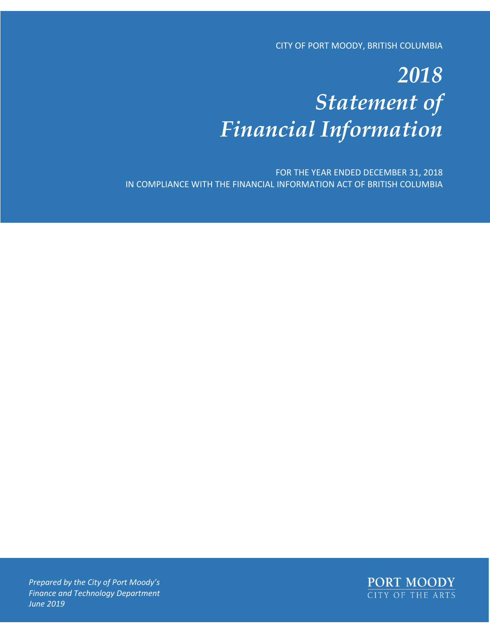CITY OF PORT MOODY, BRITISH COLUMBIA

# *2018 Statement of Financial Information*

FOR THE YEAR ENDED DECEMBER 31, 2018 IN COMPLIANCE WITH THE FINANCIAL INFORMATION ACT OF BRITISH COLUMBIA



*Prepared by the City of Port Moody's Finance and Technology Department June 2019*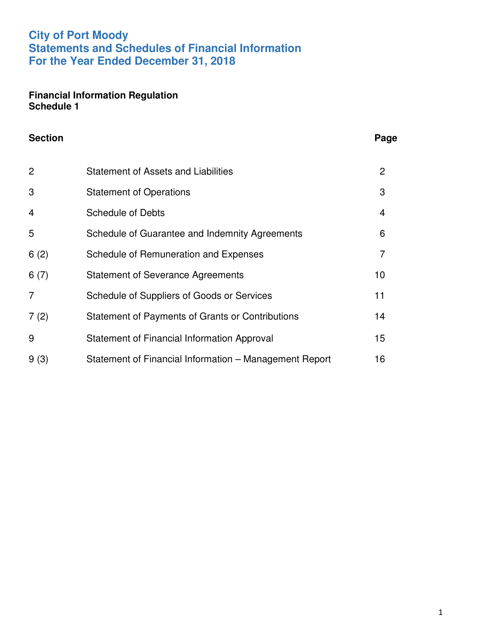## **City of Port Moody Statements and Schedules of Financial Information For the Year Ended December 31, 2018**

#### **Financial Information Regulation Schedule 1**

| <b>Section</b> |                                                        | Page           |
|----------------|--------------------------------------------------------|----------------|
| $\overline{2}$ | <b>Statement of Assets and Liabilities</b>             | $\overline{2}$ |
| 3              | <b>Statement of Operations</b>                         | 3              |
| $\overline{4}$ | <b>Schedule of Debts</b>                               | 4              |
| 5              | Schedule of Guarantee and Indemnity Agreements         | 6              |
| 6(2)           | Schedule of Remuneration and Expenses                  | 7              |
| 6(7)           | <b>Statement of Severance Agreements</b>               | 10             |
| 7              | Schedule of Suppliers of Goods or Services             | 11             |
| 7(2)           | Statement of Payments of Grants or Contributions       | 14             |
| 9              | Statement of Financial Information Approval            | 15             |
| 9(3)           | Statement of Financial Information – Management Report | 16             |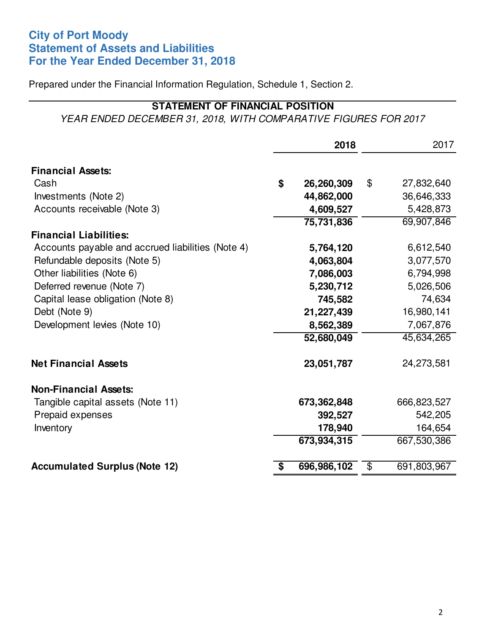## **City of Port Moody Statement of Assets and Liabilities For the Year Ended December 31, 2018**

Prepared under the Financial Information Regulation, Schedule 1, Section 2.

## **STATEMENT OF FINANCIAL POSITION**

YEAR ENDED DECEMBER 31, 2018, WITH COMPARATIVE FIGURES FOR 2017

|                                                   | 2018              |                                  | 2017        |
|---------------------------------------------------|-------------------|----------------------------------|-------------|
| <b>Financial Assets:</b>                          |                   |                                  |             |
| Cash                                              | \$<br>26,260,309  | \$                               | 27,832,640  |
| Investments (Note 2)                              | 44,862,000        |                                  | 36,646,333  |
| Accounts receivable (Note 3)                      | 4,609,527         |                                  | 5,428,873   |
|                                                   | 75,731,836        |                                  | 69,907,846  |
| <b>Financial Liabilities:</b>                     |                   |                                  |             |
| Accounts payable and accrued liabilities (Note 4) | 5,764,120         |                                  | 6,612,540   |
| Refundable deposits (Note 5)                      | 4,063,804         |                                  | 3,077,570   |
| Other liabilities (Note 6)                        | 7,086,003         |                                  | 6,794,998   |
| Deferred revenue (Note 7)                         | 5,230,712         |                                  | 5,026,506   |
| Capital lease obligation (Note 8)                 | 745,582           |                                  | 74,634      |
| Debt (Note 9)                                     | 21,227,439        |                                  | 16,980,141  |
| Development levies (Note 10)                      | 8,562,389         |                                  | 7,067,876   |
|                                                   | 52,680,049        |                                  | 45,634,265  |
| <b>Net Financial Assets</b>                       | 23,051,787        |                                  | 24,273,581  |
| <b>Non-Financial Assets:</b>                      |                   |                                  |             |
| Tangible capital assets (Note 11)                 | 673,362,848       |                                  | 666,823,527 |
| Prepaid expenses                                  | 392,527           |                                  | 542,205     |
| Inventory                                         | 178,940           |                                  | 164,654     |
|                                                   | 673,934,315       |                                  | 667,530,386 |
| <b>Accumulated Surplus (Note 12)</b>              | \$<br>696,986,102 | $\overline{\boldsymbol{\theta}}$ | 691,803,967 |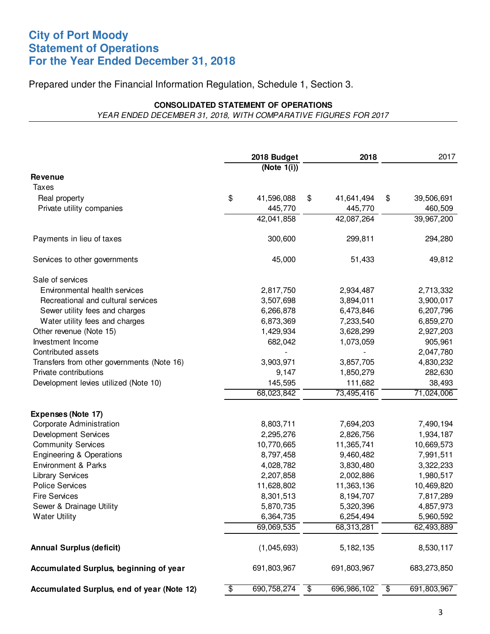#### **City of Port Moody Statement of Operations For the Year Ended December 31, 2018**

#### Prepared under the Financial Information Regulation, Schedule 1, Section 3.

#### **CONSOLIDATED STATEMENT OF OPERATIONS** YEAR ENDED DECEMBER 31, 2018, WITH COMPARATIVE FIGURES FOR 2017

|                                            |                 | 2018 Budget    | 2018              | 2017              |
|--------------------------------------------|-----------------|----------------|-------------------|-------------------|
|                                            |                 | (Note $1(i)$ ) |                   |                   |
| <b>Revenue</b>                             |                 |                |                   |                   |
| Taxes                                      |                 |                |                   |                   |
| Real property                              | \$              | 41,596,088     | \$<br>41,641,494  | \$<br>39,506,691  |
| Private utility companies                  |                 | 445,770        | 445,770           | 460,509           |
|                                            |                 | 42,041,858     | 42,087,264        | 39,967,200        |
| Payments in lieu of taxes                  |                 | 300,600        | 299,811           | 294,280           |
| Services to other governments              |                 | 45,000         | 51,433            | 49,812            |
| Sale of services                           |                 |                |                   |                   |
| Environmental health services              |                 | 2,817,750      | 2,934,487         | 2,713,332         |
| Recreational and cultural services         |                 | 3,507,698      | 3,894,011         | 3,900,017         |
| Sewer utility fees and charges             |                 | 6,266,878      | 6,473,846         | 6,207,796         |
| Water utility fees and charges             |                 | 6,873,369      | 7,233,540         | 6,859,270         |
| Other revenue (Note 15)                    |                 | 1,429,934      | 3,628,299         | 2,927,203         |
| Investment Income                          |                 | 682,042        | 1,073,059         | 905,961           |
| Contributed assets                         |                 |                |                   | 2,047,780         |
| Transfers from other governments (Note 16) |                 | 3,903,971      | 3,857,705         | 4,830,232         |
| Private contributions                      |                 | 9,147          | 1,850,279         | 282,630           |
| Development levies utilized (Note 10)      |                 | 145,595        | 111,682           | 38,493            |
|                                            |                 | 68,023,842     | 73,495,416        | 71,024,006        |
| Expenses (Note 17)                         |                 |                |                   |                   |
| Corporate Administration                   |                 | 8,803,711      | 7,694,203         | 7,490,194         |
| <b>Development Services</b>                |                 | 2,295,276      | 2,826,756         | 1,934,187         |
| <b>Community Services</b>                  |                 | 10,770,665     | 11,365,741        | 10,669,573        |
| <b>Engineering &amp; Operations</b>        |                 | 8,797,458      | 9,460,482         | 7,991,511         |
| <b>Environment &amp; Parks</b>             |                 | 4,028,782      | 3,830,480         | 3,322,233         |
| <b>Library Services</b>                    |                 | 2,207,858      | 2,002,886         | 1,980,517         |
| <b>Police Services</b>                     |                 | 11,628,802     | 11,363,136        | 10,469,820        |
| <b>Fire Services</b>                       |                 | 8,301,513      | 8,194,707         | 7,817,289         |
| Sewer & Drainage Utility                   |                 | 5,870,735      | 5,320,396         | 4,857,973         |
| <b>Water Utility</b>                       |                 | 6,364,735      | 6,254,494         | 5,960,592         |
|                                            |                 | 69,069,535     | 68,313,281        | 62,493,889        |
| <b>Annual Surplus (deficit)</b>            |                 | (1,045,693)    | 5, 182, 135       | 8,530,117         |
| Accumulated Surplus, beginning of year     |                 | 691,803,967    | 691,803,967       | 683,273,850       |
| Accumulated Surplus, end of year (Note 12) | $\overline{\$}$ | 690,758,274    | \$<br>696,986,102 | \$<br>691,803,967 |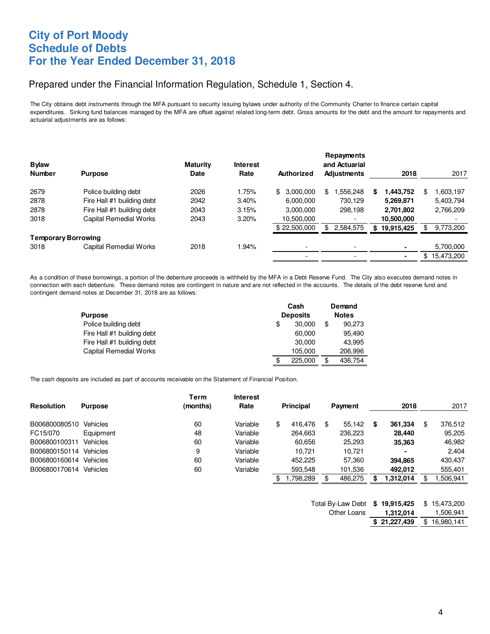## **City of Port Moody Schedule of Debts For the Year Ended December 31, 2018**

#### Prepared under the Financial Information Regulation, Schedule 1, Section 4.

The City obtains debt instruments through the MFA pursuant to security issuing bylaws under authority of the Community Charter to finance certain capital expenditures. Sinking fund balances managed by the MFA are offset against related long-term debt. Gross amounts for the debt and the amount for repayments and actuarial adjustments are as follows:

| <b>Bylaw</b><br><b>Number</b> | <b>Purpose</b>                | <b>Maturity</b><br><b>Date</b> | <b>Interest</b><br>Rate | Authorized               | Repayments<br>and Actuarial<br><b>Adjustments</b> | 2018             | 2017          |
|-------------------------------|-------------------------------|--------------------------------|-------------------------|--------------------------|---------------------------------------------------|------------------|---------------|
|                               |                               |                                |                         |                          |                                                   |                  |               |
| 2679                          | Police building debt          | 2026                           | 1.75%                   | 3.000.000<br>\$          | .556,248<br>\$                                    | 1,443,752<br>S   | .603,197<br>S |
| 2878                          | Fire Hall #1 building debt    | 2042                           | 3.40%                   | 6,000,000                | 730,129                                           | 5,269,871        | 5,403,794     |
| 2878                          | Fire Hall #1 building debt    | 2043                           | 3.15%                   | 3.000.000                | 298,198                                           | 2,701,802        | 2,766,209     |
| 3018                          | <b>Capital Remedial Works</b> | 2043                           | 3.20%                   | 10,500,000               |                                                   | 10,500,000       |               |
|                               |                               |                                |                         | \$22,500,000             | 2,584,575<br>\$                                   | 19,915,425<br>\$ | 9,773,200     |
| <b>Temporary Borrowing</b>    |                               |                                |                         |                          |                                                   |                  |               |
| 3018                          | Capital Remedial Works        | 2018                           | 1.94%                   | $\overline{\phantom{0}}$ | $\overline{\phantom{0}}$                          | ٠                | 5,700,000     |
|                               |                               |                                |                         |                          | -                                                 | ۰                | \$15,473,200  |

As a condition of these borrowings, a portion of the debenture proceeds is withheld by the MFA in a Debt Reserve Fund. The City also executes demand notes in connection with each debenture. These demand notes are contingent in nature and are not reflected in the accounts. The details of the debt reserve fund and contingent demand notes at December 31, 2018 are as follows:

|                               | Cash |                 | Demand |              |
|-------------------------------|------|-----------------|--------|--------------|
| <b>Purpose</b>                |      | <b>Deposits</b> |        | <b>Notes</b> |
| Police building debt          | \$   | 30,000          | \$     | 90,273       |
| Fire Hall #1 building debt    |      | 60,000          |        | 95,490       |
| Fire Hall #1 building debt    |      | 30,000          |        | 43.995       |
| <b>Capital Remedial Works</b> |      | 105,000         |        | 206.996      |
|                               | \$   | 225,000         | \$     | 436,754      |

The cash deposits are included as part of accounts receivable on the Statement of Financial Position.

|                   |                 | Term     | <b>Interest</b> |                  |     |         |   |           |               |
|-------------------|-----------------|----------|-----------------|------------------|-----|---------|---|-----------|---------------|
| <b>Resolution</b> | <b>Purpose</b>  | (months) | Rate            | <b>Principal</b> |     | Payment |   | 2018      | 2017          |
| B006800080510     | <b>Vehicles</b> | 60       | Variable        | \$<br>416.476    | \$. | 55.142  | S | 361,334   | \$<br>376.512 |
| FC15/070          | Equipment       | 48       | Variable        | 264.663          |     | 236.223 |   | 28.440    | 95.205        |
| B006800100311     | <b>Vehicles</b> | 60       | Variable        | 60.656           |     | 25,293  |   | 35,363    | 46,982        |
| B006800150114     | <b>Vehicles</b> | 9        | Variable        | 10.721           |     | 10.721  |   |           | 2.404         |
| B006800160614     | <b>Vehicles</b> | 60       | Variable        | 452.225          |     | 57,360  |   | 394.865   | 430,437       |
| B006800170614     | <b>Vehicles</b> | 60       | Variable        | 593.548          |     | 101,536 |   | 492.012   | 555,401       |
|                   |                 |          |                 | ,798,289         |     | 486.275 |   | 1,312,014 | .506,941      |

| Total By-Law Debt | \$19,915,425 | \$15,473,200 |
|-------------------|--------------|--------------|
| Other Loans       | 1,312,014    | 1,506,941    |
|                   | \$21,227,439 | \$16,980,141 |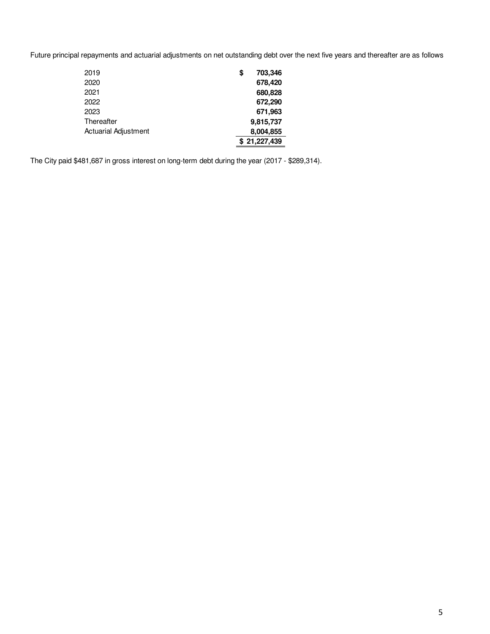Future principal repayments and actuarial adjustments on net outstanding debt over the next five years and thereafter are as follows:

| 2019                        | \$<br>703,346 |
|-----------------------------|---------------|
| 2020                        | 678.420       |
| 2021                        | 680,828       |
| 2022                        | 672.290       |
| 2023                        | 671,963       |
| Thereafter                  | 9,815,737     |
| <b>Actuarial Adjustment</b> | 8,004,855     |
|                             | \$21,227,439  |

The City paid \$481,687 in gross interest on long-term debt during the year (2017 - \$289,314).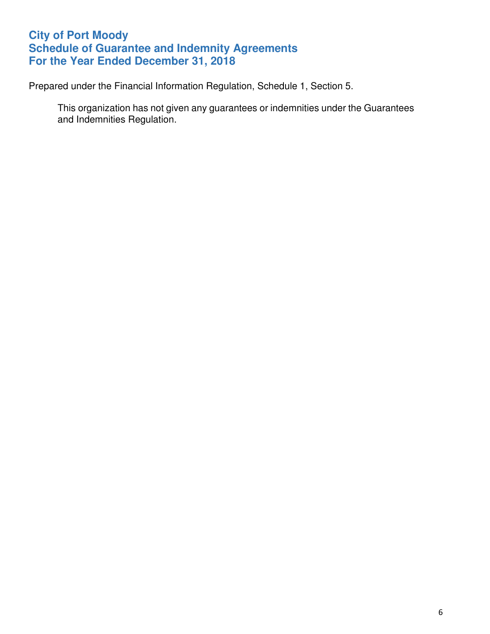## **City of Port Moody Schedule of Guarantee and Indemnity Agreements For the Year Ended December 31, 2018**

Prepared under the Financial Information Regulation, Schedule 1, Section 5.

This organization has not given any guarantees or indemnities under the Guarantees and Indemnities Regulation.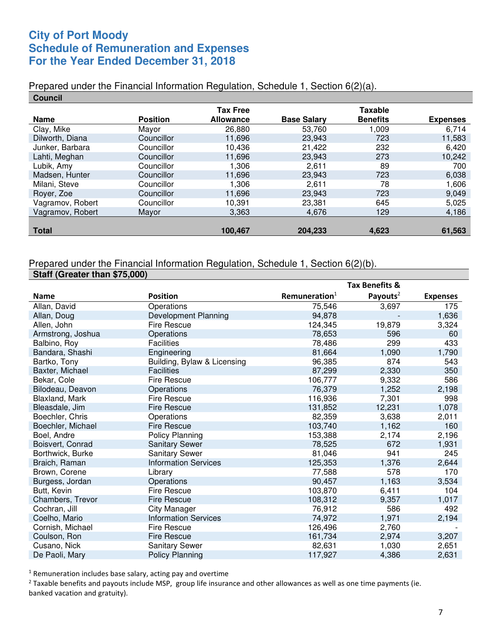## **City of Port Moody Schedule of Remuneration and Expenses For the Year Ended December 31, 2018**

#### Prepared under the Financial Information Regulation, Schedule 1, Section 6(2)(a).

| <b>Council</b>   |                 |                  |                    |                 |                 |
|------------------|-----------------|------------------|--------------------|-----------------|-----------------|
|                  |                 | <b>Tax Free</b>  |                    | <b>Taxable</b>  |                 |
| <b>Name</b>      | <b>Position</b> | <b>Allowance</b> | <b>Base Salary</b> | <b>Benefits</b> | <b>Expenses</b> |
| Clay, Mike       | Mayor           | 26,880           | 53,760             | 1,009           | 6,714           |
| Dilworth, Diana  | Councillor      | 11,696           | 23,943             | 723             | 11,583          |
| Junker, Barbara  | Councillor      | 10,436           | 21,422             | 232             | 6,420           |
| Lahti, Meghan    | Councillor      | 11,696           | 23,943             | 273             | 10,242          |
| Lubik, Amy       | Councillor      | 1.306            | 2,611              | 89              | 700             |
| Madsen, Hunter   | Councillor      | 11,696           | 23,943             | 723             | 6,038           |
| Milani, Steve    | Councillor      | 1,306            | 2.611              | 78              | 1,606           |
| Royer, Zoe       | Councillor      | 11.696           | 23.943             | 723             | 9,049           |
| Vagramov, Robert | Councillor      | 10,391           | 23,381             | 645             | 5,025           |
| Vagramov, Robert | Mayor           | 3,363            | 4,676              | 129             | 4,186           |
|                  |                 |                  |                    |                 |                 |
| <b>Total</b>     |                 | 100,467          | 204,233            | 4,623           | 61,563          |

#### Prepared under the Financial Information Regulation, Schedule 1, Section 6(2)(b). **Staff (Greater than \$75,000)**

|                   |                             |                           | Tax Benefits &       |                 |
|-------------------|-----------------------------|---------------------------|----------------------|-----------------|
| <b>Name</b>       | <b>Position</b>             | Remuneration <sup>1</sup> | Payouts <sup>2</sup> | <b>Expenses</b> |
| Allan, David      | Operations                  | 75,546                    | 3,697                | 175             |
| Allan, Doug       | Development Planning        | 94,878                    |                      | 1,636           |
| Allen, John       | <b>Fire Rescue</b>          | 124,345                   | 19,879               | 3,324           |
| Armstrong, Joshua | Operations                  | 78,653                    | 596                  | 60              |
| Balbino, Roy      | <b>Facilities</b>           | 78,486                    | 299                  | 433             |
| Bandara, Shashi   | Engineering                 | 81,664                    | 1,090                | 1,790           |
| Bartko, Tony      | Building, Bylaw & Licensing | 96,385                    | 874                  | 543             |
| Baxter, Michael   | <b>Facilities</b>           | 87,299                    | 2,330                | 350             |
| Bekar, Cole       | <b>Fire Rescue</b>          | 106,777                   | 9,332                | 586             |
| Bilodeau, Deavon  | Operations                  | 76,379                    | 1,252                | 2,198           |
| Blaxland, Mark    | <b>Fire Rescue</b>          | 116,936                   | 7,301                | 998             |
| Bleasdale, Jim    | <b>Fire Rescue</b>          | 131,852                   | 12,231               | 1,078           |
| Boechler, Chris   | Operations                  | 82,359                    | 3,638                | 2,011           |
| Boechler, Michael | <b>Fire Rescue</b>          | 103,740                   | 1,162                | 160             |
| Boel, Andre       | <b>Policy Planning</b>      | 153,388                   | 2,174                | 2,196           |
| Boisvert, Conrad  | <b>Sanitary Sewer</b>       | 78,525                    | 672                  | 1,931           |
| Borthwick, Burke  | <b>Sanitary Sewer</b>       | 81,046                    | 941                  | 245             |
| Braich, Raman     | <b>Information Services</b> | 125,353                   | 1,376                | 2,644           |
| Brown, Corene     | Library                     | 77,588                    | 578                  | 170             |
| Burgess, Jordan   | Operations                  | 90,457                    | 1,163                | 3,534           |
| Butt, Kevin       | <b>Fire Rescue</b>          | 103,870                   | 6,411                | 104             |
| Chambers, Trevor  | <b>Fire Rescue</b>          | 108,312                   | 9,357                | 1,017           |
| Cochran, Jill     | <b>City Manager</b>         | 76,912                    | 586                  | 492             |
| Coelho, Mario     | <b>Information Services</b> | 74,972                    | 1,971                | 2,194           |
| Cornish, Michael  | <b>Fire Rescue</b>          | 126,496                   | 2,760                |                 |
| Coulson, Ron      | <b>Fire Rescue</b>          | 161,734                   | 2,974                | 3,207           |
| Cusano, Nick      | <b>Sanitary Sewer</b>       | 82,631                    | 1,030                | 2,651           |
| De Paoli, Mary    | <b>Policy Planning</b>      | 117,927                   | 4,386                | 2,631           |

 $1$  Remuneration includes base salary, acting pay and overtime

 $<sup>2</sup>$  Taxable benefits and payouts include MSP, group life insurance and other allowances as well as one time payments (ie.</sup> banked vacation and gratuity).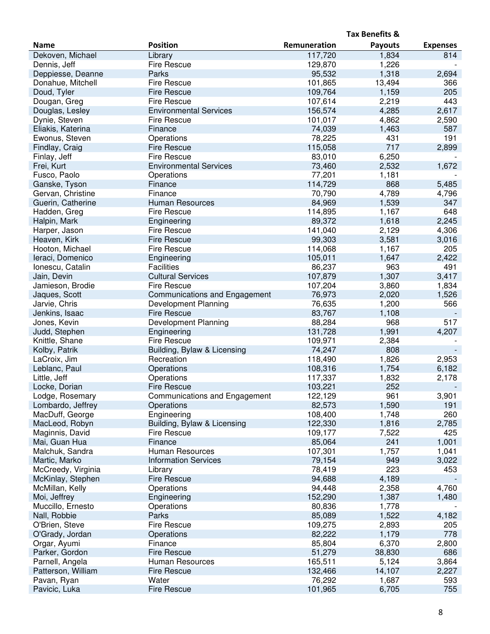|                    |                               |              | <b>Tax Benefits &amp;</b> |                 |
|--------------------|-------------------------------|--------------|---------------------------|-----------------|
| <b>Name</b>        | <b>Position</b>               | Remuneration | <b>Payouts</b>            | <b>Expenses</b> |
| Dekoven, Michael   | Library                       | 117,720      | 1,834                     | 814             |
| Dennis, Jeff       | Fire Rescue                   | 129,870      | 1,226                     |                 |
| Deppiesse, Deanne  | Parks                         | 95,532       | 1,318                     | 2,694           |
| Donahue, Mitchell  | Fire Rescue                   | 101,865      | 13,494                    | 366             |
| Doud, Tyler        | <b>Fire Rescue</b>            | 109,764      | 1,159                     | 205             |
| Dougan, Greg       | <b>Fire Rescue</b>            | 107,614      | 2,219                     | 443             |
| Douglas, Lesley    | <b>Environmental Services</b> | 156,574      | 4,285                     | 2,617           |
|                    |                               |              |                           | 2,590           |
| Dynie, Steven      | <b>Fire Rescue</b>            | 101,017      | 4,862                     |                 |
| Eliakis, Katerina  | Finance                       | 74,039       | 1,463                     | 587             |
| Ewonus, Steven     | Operations                    | 78,225       | 431                       | 191             |
| Findlay, Craig     | <b>Fire Rescue</b>            | 115,058      | 717                       | 2,899           |
| Finlay, Jeff       | <b>Fire Rescue</b>            | 83,010       | 6,250                     |                 |
| Frei, Kurt         | <b>Environmental Services</b> | 73,460       | 2,532                     | 1,672           |
| Fusco, Paolo       | Operations                    | 77,201       | 1,181                     |                 |
| Ganske, Tyson      | Finance                       | 114,729      | 868                       | 5,485           |
| Gervan, Christine  | Finance                       | 70,790       | 4,789                     | 4,796           |
| Guerin, Catherine  | <b>Human Resources</b>        | 84,969       | 1,539                     | 347             |
| Hadden, Greg       | <b>Fire Rescue</b>            | 114,895      | 1,167                     | 648             |
| Halpin, Mark       | Engineering                   | 89,372       | 1,618                     | 2,245           |
| Harper, Jason      | <b>Fire Rescue</b>            | 141,040      | 2,129                     | 4,306           |
| Heaven, Kirk       | <b>Fire Rescue</b>            | 99,303       | 3,581                     | 3,016           |
| Hooton, Michael    | <b>Fire Rescue</b>            | 114,068      | 1,167                     | 205             |
| leraci, Domenico   | Engineering                   | 105,011      | 1,647                     | 2,422           |
| Ionescu, Catalin   | <b>Facilities</b>             | 86,237       | 963                       | 491             |
|                    | <b>Cultural Services</b>      |              |                           |                 |
| Jain, Devin        |                               | 107,879      | 1,307                     | 3,417           |
| Jamieson, Brodie   | <b>Fire Rescue</b>            | 107,204      | 3,860                     | 1,834           |
| Jaques, Scott      | Communications and Engagement | 76,973       | 2,020                     | 1,526           |
| Jarvie, Chris      | Development Planning          | 76,635       | 1,200                     | 566             |
| Jenkins, Isaac     | <b>Fire Rescue</b>            | 83,767       | 1,108                     |                 |
| Jones, Kevin       | Development Planning          | 88,284       | 968                       | 517             |
| Judd, Stephen      | Engineering                   | 131,728      | 1,991                     | 4,207           |
| Knittle, Shane     | <b>Fire Rescue</b>            | 109,971      | 2,384                     |                 |
| Kolby, Patrik      | Building, Bylaw & Licensing   | 74,247       | 808                       |                 |
| LaCroix, Jim       | Recreation                    | 118,490      | 1,826                     | 2,953           |
| Leblanc, Paul      | Operations                    | 108,316      | 1,754                     | 6,182           |
| Little, Jeff       | Operations                    | 117,337      | 1,832                     | 2,178           |
| Locke, Dorian      | <b>Fire Rescue</b>            | 103,221      | 252                       |                 |
| Lodge, Rosemary    | Communications and Engagement | 122,129      | 961                       | 3,901           |
| Lombardo, Jeffrey  | Operations                    | 82,573       | 1,590                     | 191             |
| MacDuff, George    | Engineering                   | 108,400      | 1,748                     | 260             |
| MacLeod, Robyn     | Building, Bylaw & Licensing   | 122,330      | 1,816                     | 2,785           |
| Maginnis, David    | Fire Rescue                   | 109,177      | 7,522                     | 425             |
| Mai, Guan Hua      | Finance                       | 85,064       | 241                       | 1,001           |
| Malchuk, Sandra    | Human Resources               | 107,301      | 1,757                     | 1,041           |
| Martic, Marko      | <b>Information Services</b>   | 79,154       | 949                       | 3,022           |
| McCreedy, Virginia | Library                       | 78,419       | 223                       | 453             |
|                    |                               | 94,688       |                           |                 |
| McKinlay, Stephen  | <b>Fire Rescue</b>            |              | 4,189                     |                 |
| McMillan, Kelly    | Operations                    | 94,448       | 2,358                     | 4,760           |
| Moi, Jeffrey       | Engineering                   | 152,290      | 1,387                     | 1,480           |
| Muccillo, Ernesto  | Operations                    | 80,836       | 1,778                     |                 |
| Nall, Robbie       | Parks                         | 85,089       | 1,522                     | 4,182           |
| O'Brien, Steve     | Fire Rescue                   | 109,275      | 2,893                     | 205             |
| O'Grady, Jordan    | Operations                    | 82,222       | 1,179                     | 778             |
| Orgar, Ayumi       | Finance                       | 85,804       | 6,370                     | 2,800           |
| Parker, Gordon     | <b>Fire Rescue</b>            | 51,279       | 38,830                    | 686             |
| Parnell, Angela    | Human Resources               | 165,511      | 5,124                     | 3,864           |
| Patterson, William | <b>Fire Rescue</b>            | 132,466      | 14,107                    | 2,227           |
| Pavan, Ryan        | Water                         | 76,292       | 1,687                     | 593             |
| Pavicic, Luka      | <b>Fire Rescue</b>            | 101,965      | 6,705                     | 755             |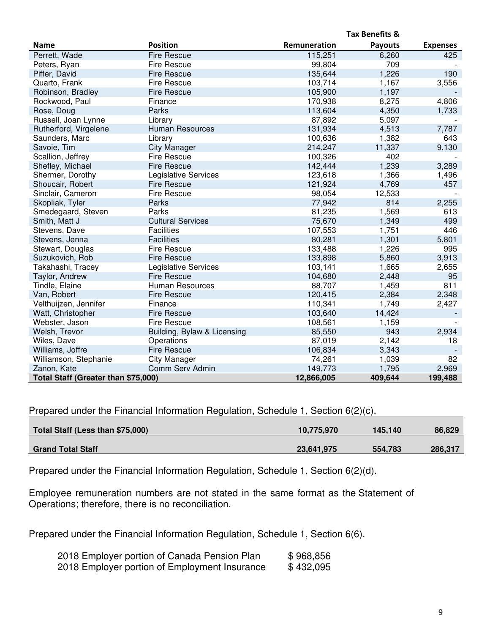|                                     |                             |              | <b>Tax Benefits &amp;</b> |                 |
|-------------------------------------|-----------------------------|--------------|---------------------------|-----------------|
| <b>Name</b>                         | <b>Position</b>             | Remuneration | <b>Payouts</b>            | <b>Expenses</b> |
| Perrett, Wade                       | <b>Fire Rescue</b>          | 115,251      | 6,260                     | 425             |
| Peters, Ryan                        | Fire Rescue                 | 99,804       | 709                       |                 |
| Piffer, David                       | <b>Fire Rescue</b>          | 135,644      | 1,226                     | 190             |
| Quarto, Frank                       | <b>Fire Rescue</b>          | 103,714      | 1,167                     | 3,556           |
| Robinson, Bradley                   | <b>Fire Rescue</b>          | 105,900      | 1,197                     |                 |
| Rockwood, Paul                      | Finance                     | 170,938      | 8,275                     | 4,806           |
| Rose, Doug                          | Parks                       | 113,604      | 4,350                     | 1,733           |
| Russell, Joan Lynne                 | Library                     | 87,892       | 5,097                     |                 |
| Rutherford, Virgelene               | <b>Human Resources</b>      | 131,934      | 4,513                     | 7,787           |
| Saunders, Marc                      | Library                     | 100,636      | 1,382                     | 643             |
| Savoie, Tim                         | <b>City Manager</b>         | 214,247      | 11,337                    | 9,130           |
| Scallion, Jeffrey                   | <b>Fire Rescue</b>          | 100,326      | 402                       |                 |
| Shefley, Michael                    | <b>Fire Rescue</b>          | 142,444      | 1,239                     | 3,289           |
| Shermer, Dorothy                    | Legislative Services        | 123,618      | 1,366                     | 1,496           |
| Shoucair, Robert                    | <b>Fire Rescue</b>          | 121,924      | 4,769                     | 457             |
| Sinclair, Cameron                   | <b>Fire Rescue</b>          | 98,054       | 12,533                    |                 |
| Skopliak, Tyler                     | Parks                       | 77,942       | 814                       | 2,255           |
| Smedegaard, Steven                  | Parks                       | 81,235       | 1,569                     | 613             |
| Smith, Matt J                       | <b>Cultural Services</b>    | 75,670       | 1,349                     | 499             |
| Stevens, Dave                       | <b>Facilities</b>           | 107,553      | 1,751                     | 446             |
| Stevens, Jenna                      | <b>Facilities</b>           | 80,281       | 1,301                     | 5,801           |
| Stewart, Douglas                    | <b>Fire Rescue</b>          | 133,488      | 1,226                     | 995             |
| Suzukovich, Rob                     | <b>Fire Rescue</b>          | 133,898      | 5,860                     | 3,913           |
| Takahashi, Tracey                   | Legislative Services        | 103,141      | 1,665                     | 2,655           |
| Taylor, Andrew                      | <b>Fire Rescue</b>          | 104,680      | 2,448                     | 95              |
| Tindle, Elaine                      | Human Resources             | 88,707       | 1,459                     | 811             |
| Van, Robert                         | <b>Fire Rescue</b>          | 120,415      | 2,384                     | 2,348           |
| Velthuijzen, Jennifer               | Finance                     | 110,341      | 1,749                     | 2,427           |
| Watt, Christopher                   | <b>Fire Rescue</b>          | 103,640      | 14,424                    |                 |
| Webster, Jason                      | <b>Fire Rescue</b>          | 108,561      | 1,159                     |                 |
| Welsh, Trevor                       | Building, Bylaw & Licensing | 85,550       | 943                       | 2,934           |
| Wiles, Dave                         | Operations                  | 87,019       | 2,142                     | 18              |
| Williams, Joffre                    | <b>Fire Rescue</b>          | 106,834      | 3,343                     |                 |
| Williamson, Stephanie               | <b>City Manager</b>         | 74,261       | 1,039                     | 82              |
| Zanon, Kate                         | Comm Serv Admin             | 149,773      | 1,795                     | 2,969           |
| Total Staff (Greater than \$75,000) |                             | 12,866,005   | 409,644                   | 199,488         |

Prepared under the Financial Information Regulation, Schedule 1, Section 6(2)(c).

| Total Staff (Less than \$75,000) | 10,775,970 | 145,140 | 86,829  |
|----------------------------------|------------|---------|---------|
| <b>Grand Total Staff</b>         | 23,641,975 | 554.783 | 286,317 |

Prepared under the Financial Information Regulation, Schedule 1, Section 6(2)(d).

Employee remuneration numbers are not stated in the same format as the Statement of Operations; therefore, there is no reconciliation.

Prepared under the Financial Information Regulation, Schedule 1, Section 6(6).

| 2018 Employer portion of Canada Pension Plan  | \$968,856 |
|-----------------------------------------------|-----------|
| 2018 Employer portion of Employment Insurance | \$432,095 |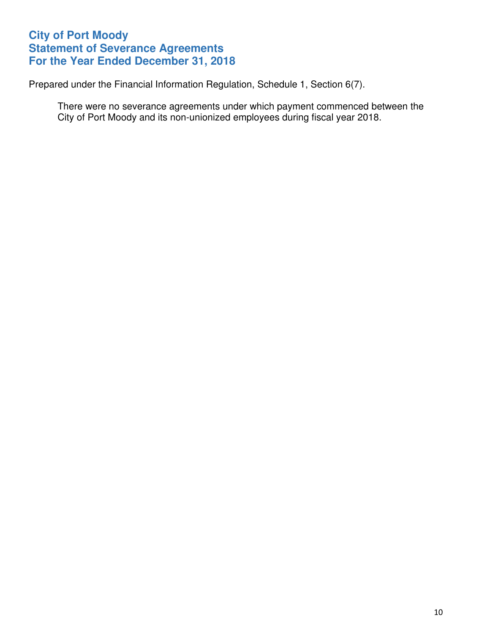## **City of Port Moody Statement of Severance Agreements For the Year Ended December 31, 2018**

Prepared under the Financial Information Regulation, Schedule 1, Section 6(7).

There were no severance agreements under which payment commenced between the City of Port Moody and its non-unionized employees during fiscal year 2018.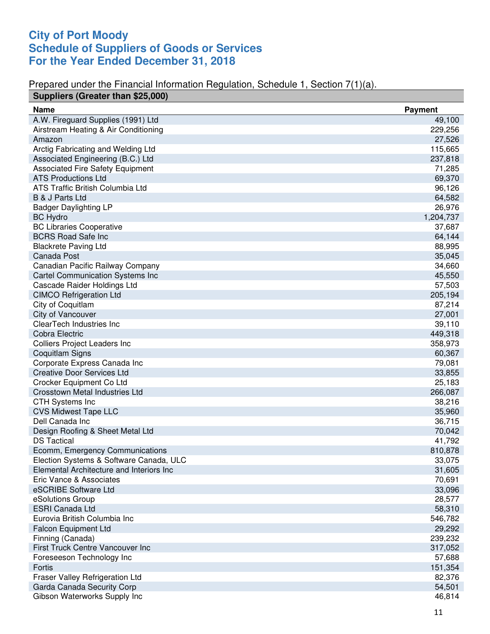## **City of Port Moody Schedule of Suppliers of Goods or Services For the Year Ended December 31, 2018**

#### Prepared under the Financial Information Regulation, Schedule 1, Section 7(1)(a).

| Suppliers (Greater than \$25,000)        |                |
|------------------------------------------|----------------|
| <b>Name</b>                              | <b>Payment</b> |
| A.W. Fireguard Supplies (1991) Ltd       | 49,100         |
| Airstream Heating & Air Conditioning     | 229,256        |
| Amazon                                   | 27,526         |
| Arctig Fabricating and Welding Ltd       | 115,665        |
| Associated Engineering (B.C.) Ltd        | 237,818        |
| <b>Associated Fire Safety Equipment</b>  | 71,285         |
| <b>ATS Productions Ltd</b>               | 69,370         |
| ATS Traffic British Columbia Ltd         | 96,126         |
| B & J Parts Ltd                          | 64,582         |
| <b>Badger Daylighting LP</b>             | 26,976         |
| <b>BC Hydro</b>                          | 1,204,737      |
| <b>BC Libraries Cooperative</b>          | 37,687         |
| <b>BCRS Road Safe Inc</b>                | 64,144         |
| <b>Blackrete Paving Ltd</b>              | 88,995         |
| Canada Post                              | 35,045         |
| Canadian Pacific Railway Company         | 34,660         |
| <b>Cartel Communication Systems Inc</b>  | 45,550         |
| Cascade Raider Holdings Ltd              | 57,503         |
| <b>CIMCO Refrigeration Ltd</b>           | 205,194        |
| City of Coquitlam                        | 87,214         |
| City of Vancouver                        | 27,001         |
| ClearTech Industries Inc                 | 39,110         |
| Cobra Electric                           | 449,318        |
| <b>Colliers Project Leaders Inc</b>      | 358,973        |
| <b>Coquitlam Signs</b>                   | 60,367         |
| Corporate Express Canada Inc             | 79,081         |
| <b>Creative Door Services Ltd</b>        | 33,855         |
| Crocker Equipment Co Ltd                 | 25,183         |
| Crosstown Metal Industries Ltd           | 266,087        |
| <b>CTH Systems Inc</b>                   | 38,216         |
| <b>CVS Midwest Tape LLC</b>              | 35,960         |
| Dell Canada Inc                          | 36,715         |
| Design Roofing & Sheet Metal Ltd         | 70,042         |
| <b>DS Tactical</b>                       | 41,792         |
| Ecomm, Emergency Communications          | 810,878        |
| Election Systems & Software Canada, ULC  | 33,075         |
| Elemental Architecture and Interiors Inc | 31,605         |
| Eric Vance & Associates                  | 70,691         |
| eSCRIBE Software Ltd                     | 33,096         |
| eSolutions Group                         | 28,577         |
| <b>ESRI Canada Ltd</b>                   | 58,310         |
| Eurovia British Columbia Inc             | 546,782        |
| <b>Falcon Equipment Ltd</b>              | 29,292         |
| Finning (Canada)                         | 239,232        |
| First Truck Centre Vancouver Inc         | 317,052        |
| Foreseeson Technology Inc                | 57,688         |
| Fortis                                   | 151,354        |
| Fraser Valley Refrigeration Ltd          | 82,376         |
| Garda Canada Security Corp               | 54,501         |
| Gibson Waterworks Supply Inc             | 46,814         |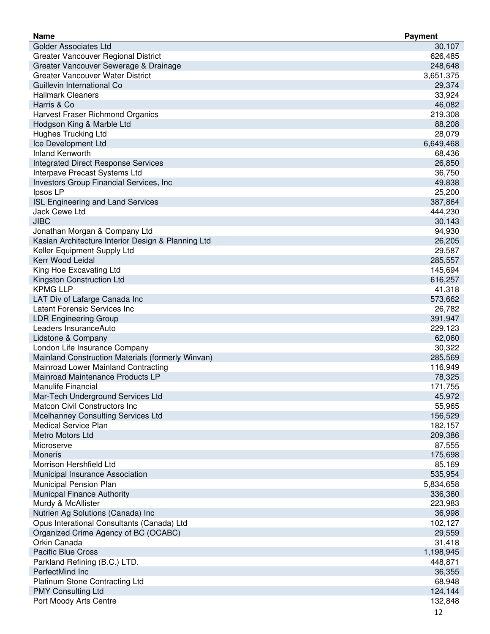| <b>Name</b>                                        | <b>Payment</b> |
|----------------------------------------------------|----------------|
| <b>Golder Associates Ltd</b>                       | 30,107         |
| Greater Vancouver Regional District                | 626,485        |
| Greater Vancouver Sewerage & Drainage              | 248,648        |
| <b>Greater Vancouver Water District</b>            | 3,651,375      |
| Guillevin International Co                         | 29,374         |
| <b>Hallmark Cleaners</b>                           | 33,924         |
| Harris & Co                                        | 46,082         |
| Harvest Fraser Richmond Organics                   | 219,308        |
| Hodgson King & Marble Ltd                          | 88,208         |
| <b>Hughes Trucking Ltd</b>                         | 28,079         |
| Ice Development Ltd                                | 6,649,468      |
| <b>Inland Kenworth</b>                             | 68,436         |
| <b>Integrated Direct Response Services</b>         | 26,850         |
| Interpave Precast Systems Ltd                      | 36,750         |
| Investors Group Financial Services, Inc.           | 49,838         |
| Ipsos LP                                           | 25,200         |
| <b>ISL Engineering and Land Services</b>           | 387,864        |
| Jack Cewe Ltd                                      | 444,230        |
| <b>JIBC</b>                                        | 30,143         |
|                                                    |                |
| Jonathan Morgan & Company Ltd                      | 94,930         |
| Kasian Architecture Interior Design & Planning Ltd | 26,205         |
| Keller Equipment Supply Ltd                        | 29,587         |
| Kerr Wood Leidal                                   | 285,557        |
| King Hoe Excavating Ltd                            | 145,694        |
| Kingston Construction Ltd                          | 616,257        |
| <b>KPMG LLP</b>                                    | 41,318         |
| LAT Div of Lafarge Canada Inc                      | 573,662        |
| Latent Forensic Services Inc                       | 26,782         |
| <b>LDR Engineering Group</b>                       | 391,947        |
| Leaders InsuranceAuto                              | 229,123        |
| Lidstone & Company                                 | 62,060         |
| London Life Insurance Company                      | 30,322         |
| Mainland Construction Materials (formerly Winvan)  | 285,569        |
| Mainroad Lower Mainland Contracting                | 116,949        |
| Mainroad Maintenance Products LP                   | 78,325         |
| Manulife Financial                                 | 171,755        |
| Mar-Tech Underground Services Ltd                  | 45,972         |
| Matcon Civil Constructors Inc                      | 55,965         |
| Mcelhanney Consulting Services Ltd                 | 156,529        |
| <b>Medical Service Plan</b>                        | 182,157        |
| Metro Motors Ltd                                   | 209,386        |
| Microserve                                         | 87,555         |
| <b>Moneris</b>                                     | 175,698        |
| Morrison Hershfield Ltd                            | 85,169         |
| Municipal Insurance Association                    | 535,954        |
| Municipal Pension Plan                             | 5,834,658      |
| <b>Municpal Finance Authority</b>                  | 336,360        |
| Murdy & McAllister                                 | 223,983        |
| Nutrien Ag Solutions (Canada) Inc                  | 36,998         |
| Opus Interational Consultants (Canada) Ltd         | 102,127        |
| Organized Crime Agency of BC (OCABC)               | 29,559         |
| Orkin Canada                                       | 31,418         |
| <b>Pacific Blue Cross</b>                          | 1,198,945      |
| Parkland Refining (B.C.) LTD.                      | 448,871        |
| PerfectMind Inc                                    | 36,355         |
| <b>Platinum Stone Contracting Ltd</b>              | 68,948         |
| <b>PMY Consulting Ltd</b>                          | 124,144        |
| Port Moody Arts Centre                             | 132,848        |
|                                                    |                |
|                                                    | 12             |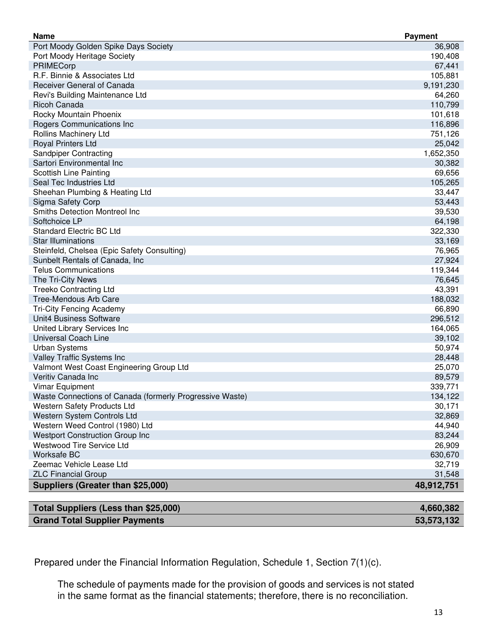| <b>Name</b>                                              | <b>Payment</b> |
|----------------------------------------------------------|----------------|
| Port Moody Golden Spike Days Society                     | 36,908         |
| Port Moody Heritage Society                              | 190,408        |
| PRIMECorp                                                | 67,441         |
| R.F. Binnie & Associates Ltd                             | 105,881        |
| Receiver General of Canada                               | 9,191,230      |
| Revi's Building Maintenance Ltd                          | 64,260         |
| <b>Ricoh Canada</b>                                      | 110,799        |
| Rocky Mountain Phoenix                                   | 101,618        |
| Rogers Communications Inc                                | 116,896        |
| Rollins Machinery Ltd                                    | 751,126        |
| Royal Printers Ltd                                       | 25,042         |
| Sandpiper Contracting                                    | 1,652,350      |
| Sartori Environmental Inc                                | 30,382         |
| <b>Scottish Line Painting</b>                            | 69,656         |
| Seal Tec Industries Ltd                                  | 105,265        |
| Sheehan Plumbing & Heating Ltd                           | 33,447         |
| Sigma Safety Corp                                        | 53,443         |
| Smiths Detection Montreol Inc                            | 39,530         |
| Softchoice LP                                            | 64,198         |
| <b>Standard Electric BC Ltd</b>                          | 322,330        |
| <b>Star Illuminations</b>                                | 33,169         |
| Steinfeld, Chelsea (Epic Safety Consulting)              | 76,965         |
| Sunbelt Rentals of Canada, Inc.                          | 27,924         |
| <b>Telus Communications</b>                              | 119,344        |
| The Tri-City News                                        | 76,645         |
| <b>Treeko Contracting Ltd</b>                            | 43,391         |
| <b>Tree-Mendous Arb Care</b>                             | 188,032        |
| <b>Tri-City Fencing Academy</b>                          | 66,890         |
| Unit4 Business Software                                  | 296,512        |
| United Library Services Inc                              | 164,065        |
| Universal Coach Line                                     | 39,102         |
| <b>Urban Systems</b>                                     | 50,974         |
| Valley Traffic Systems Inc                               | 28,448         |
| Valmont West Coast Engineering Group Ltd                 | 25,070         |
| Veritiv Canada Inc                                       | 89,579         |
| <b>Vimar Equipment</b>                                   | 339,771        |
| Waste Connections of Canada (formerly Progressive Waste) | 134,122        |
|                                                          | 30,171         |
| Western Safety Products Ltd                              |                |
| Western System Controls Ltd                              | 32,869         |
| Western Weed Control (1980) Ltd                          | 44,940         |
| <b>Westport Construction Group Inc</b>                   | 83,244         |
| <b>Westwood Tire Service Ltd</b>                         | 26,909         |
| Worksafe BC                                              | 630,670        |
| Zeemac Vehicle Lease Ltd                                 | 32,719         |
| <b>ZLC Financial Group</b>                               | 31,548         |
| Suppliers (Greater than \$25,000)                        | 48,912,751     |

| Total Suppliers (Less than \$25,000) | 4,660,382  |
|--------------------------------------|------------|
| <b>Grand Total Supplier Payments</b> | 53,573,132 |

Prepared under the Financial Information Regulation, Schedule 1, Section 7(1)(c).

The schedule of payments made for the provision of goods and services is not stated in the same format as the financial statements; therefore, there is no reconciliation.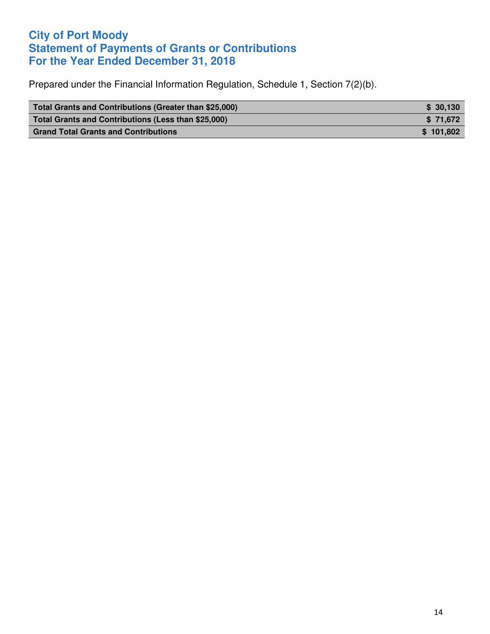## **City of Port Moody Statement of Payments of Grants or Contributions For the Year Ended December 31, 2018**

Prepared under the Financial Information Regulation, Schedule 1, Section 7(2)(b).

| Total Grants and Contributions (Greater than \$25,000) | \$ 30.130 |
|--------------------------------------------------------|-----------|
| Total Grants and Contributions (Less than \$25,000)    | \$71.672  |
| <b>Grand Total Grants and Contributions</b>            | \$101.802 |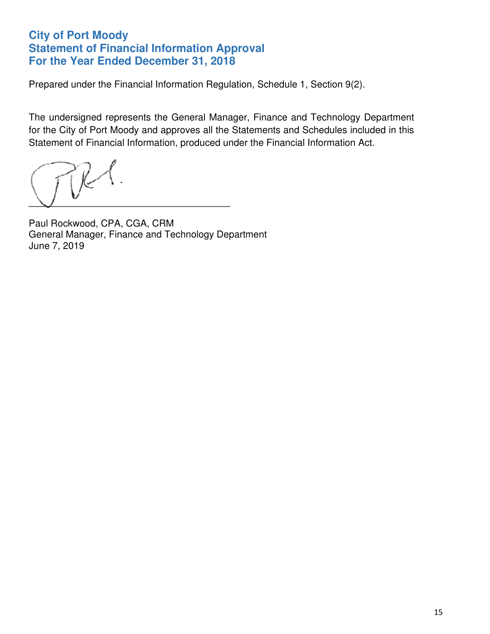## **City of Port Moody Statement of Financial Information Approval For the Year Ended December 31, 2018**

Prepared under the Financial Information Regulation, Schedule 1, Section 9(2).

The undersigned represents the General Manager, Finance and Technology Department for the City of Port Moody and approves all the Statements and Schedules included in this Statement of Financial Information, produced under the Financial Information Act.

Paul Rockwood, CPA, CGA, CRM General Manager, Finance and Technology Department June 7, 2019